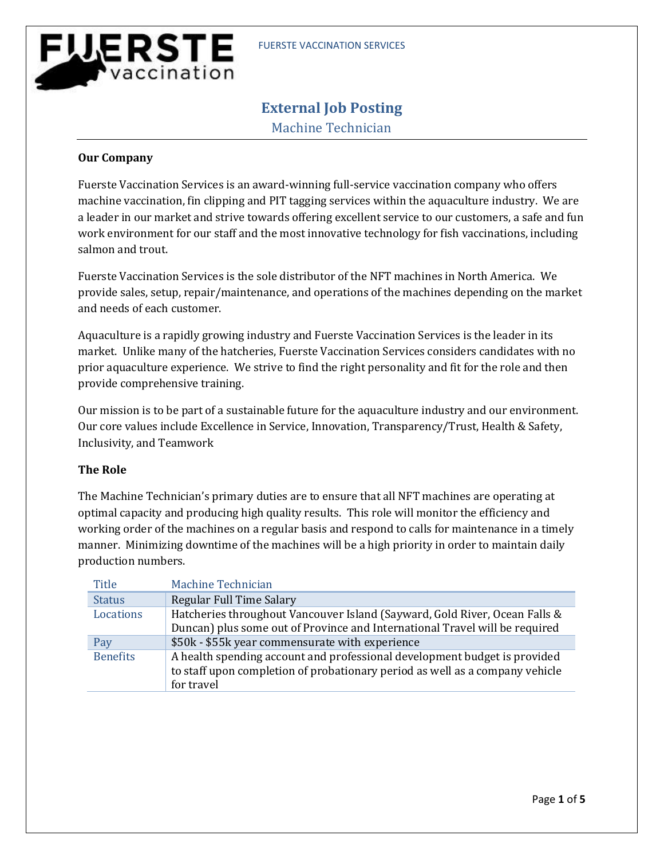# <u>WERSTE</u> vaccination

# **External Job Posting**

Machine Technician

## **Our Company**

Fuerste Vaccination Services is an award-winning full-service vaccination company who offers machine vaccination, fin clipping and PIT tagging services within the aquaculture industry. We are a leader in our market and strive towards offering excellent service to our customers, a safe and fun work environment for our staff and the most innovative technology for fish vaccinations, including salmon and trout.

Fuerste Vaccination Services is the sole distributor of the NFT machines in North America. We provide sales, setup, repair/maintenance, and operations of the machines depending on the market and needs of each customer.

Aquaculture is a rapidly growing industry and Fuerste Vaccination Services is the leader in its market. Unlike many of the hatcheries, Fuerste Vaccination Services considers candidates with no prior aquaculture experience. We strive to find the right personality and fit for the role and then provide comprehensive training.

Our mission is to be part of a sustainable future for the aquaculture industry and our environment. Our core values include Excellence in Service, Innovation, Transparency/Trust, Health & Safety, Inclusivity, and Teamwork

# **The Role**

The Machine Technician's primary duties are to ensure that all NFT machines are operating at optimal capacity and producing high quality results. This role will monitor the efficiency and working order of the machines on a regular basis and respond to calls for maintenance in a timely manner. Minimizing downtime of the machines will be a high priority in order to maintain daily production numbers.

| Title           | Machine Technician                                                                                                                                                      |
|-----------------|-------------------------------------------------------------------------------------------------------------------------------------------------------------------------|
| <b>Status</b>   | Regular Full Time Salary                                                                                                                                                |
| Locations       | Hatcheries throughout Vancouver Island (Sayward, Gold River, Ocean Falls &<br>Duncan) plus some out of Province and International Travel will be required               |
| Pay             | \$50k - \$55k year commensurate with experience                                                                                                                         |
| <b>Benefits</b> | A health spending account and professional development budget is provided<br>to staff upon completion of probationary period as well as a company vehicle<br>for travel |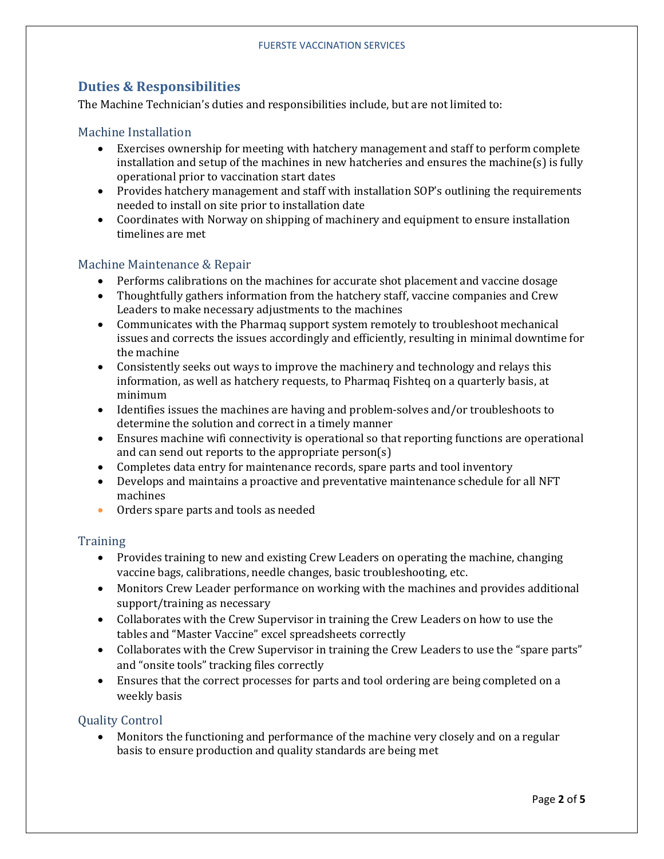# **Duties & Responsibilities**

The Machine Technician's duties and responsibilities include, but are not limited to:

#### Machine Installation

- Exercises ownership for meeting with hatchery management and staff to perform complete installation and setup of the machines in new hatcheries and ensures the machine(s) is fully operational prior to vaccination start dates
- Provides hatchery management and staff with installation SOP's outlining the requirements needed to install on site prior to installation date
- Coordinates with Norway on shipping of machinery and equipment to ensure installation timelines are met

#### Machine Maintenance & Repair

- Performs calibrations on the machines for accurate shot placement and vaccine dosage
- Thoughtfully gathers information from the hatchery staff, vaccine companies and Crew Leaders to make necessary adjustments to the machines
- Communicates with the Pharmaq support system remotely to troubleshoot mechanical issues and corrects the issues accordingly and efficiently, resulting in minimal downtime for the machine
- Consistently seeks out ways to improve the machinery and technology and relays this information, as well as hatchery requests, to Pharmaq Fishteq on a quarterly basis, at minimum
- Identifies issues the machines are having and problem-solves and/or troubleshoots to determine the solution and correct in a timely manner
- Ensures machine wifi connectivity is operational so that reporting functions are operational and can send out reports to the appropriate person(s)
- Completes data entry for maintenance records, spare parts and tool inventory
- Develops and maintains a proactive and preventative maintenance schedule for all NFT machines
- Orders spare parts and tools as needed

#### **Training**

- Provides training to new and existing Crew Leaders on operating the machine, changing vaccine bags, calibrations, needle changes, basic troubleshooting, etc.
- Monitors Crew Leader performance on working with the machines and provides additional support/training as necessary
- Collaborates with the Crew Supervisor in training the Crew Leaders on how to use the tables and "Master Vaccine" excel spreadsheets correctly
- Collaborates with the Crew Supervisor in training the Crew Leaders to use the "spare parts" and "onsite tools" tracking files correctly
- Ensures that the correct processes for parts and tool ordering are being completed on a weekly basis

#### Quality Control

• Monitors the functioning and performance of the machine very closely and on a regular basis to ensure production and quality standards are being met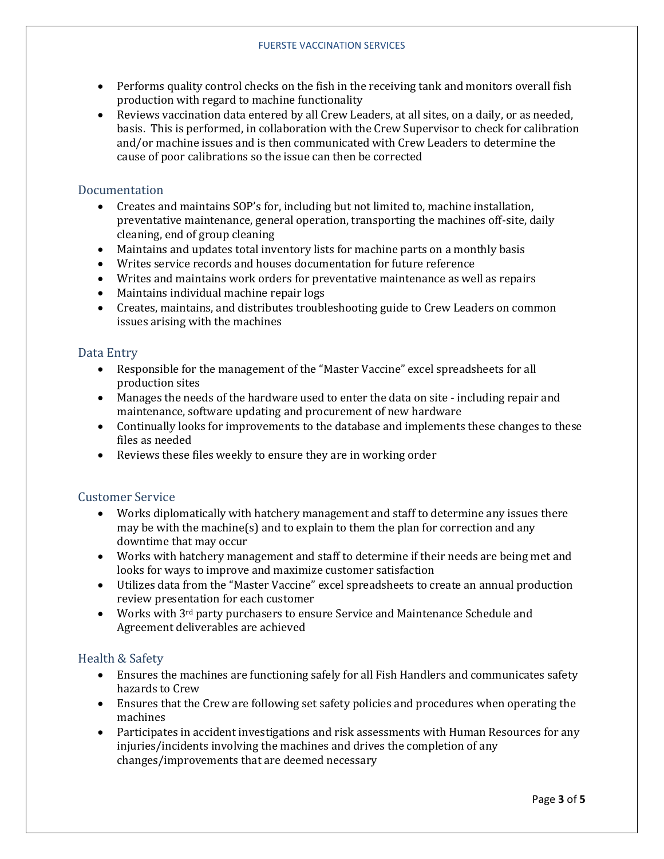- Performs quality control checks on the fish in the receiving tank and monitors overall fish production with regard to machine functionality
- Reviews vaccination data entered by all Crew Leaders, at all sites, on a daily, or as needed, basis. This is performed, in collaboration with the Crew Supervisor to check for calibration and/or machine issues and is then communicated with Crew Leaders to determine the cause of poor calibrations so the issue can then be corrected

#### Documentation

- Creates and maintains SOP's for, including but not limited to, machine installation, preventative maintenance, general operation, transporting the machines off-site, daily cleaning, end of group cleaning
- Maintains and updates total inventory lists for machine parts on a monthly basis
- Writes service records and houses documentation for future reference
- Writes and maintains work orders for preventative maintenance as well as repairs
- Maintains individual machine repair logs
- Creates, maintains, and distributes troubleshooting guide to Crew Leaders on common issues arising with the machines

#### Data Entry

- Responsible for the management of the "Master Vaccine" excel spreadsheets for all production sites
- Manages the needs of the hardware used to enter the data on site including repair and maintenance, software updating and procurement of new hardware
- Continually looks for improvements to the database and implements these changes to these files as needed
- Reviews these files weekly to ensure they are in working order

#### Customer Service

- Works diplomatically with hatchery management and staff to determine any issues there may be with the machine(s) and to explain to them the plan for correction and any downtime that may occur
- Works with hatchery management and staff to determine if their needs are being met and looks for ways to improve and maximize customer satisfaction
- Utilizes data from the "Master Vaccine" excel spreadsheets to create an annual production review presentation for each customer
- Works with 3<sup>rd</sup> party purchasers to ensure Service and Maintenance Schedule and Agreement deliverables are achieved

#### Health & Safety

- Ensures the machines are functioning safely for all Fish Handlers and communicates safety hazards to Crew
- Ensures that the Crew are following set safety policies and procedures when operating the machines
- Participates in accident investigations and risk assessments with Human Resources for any injuries/incidents involving the machines and drives the completion of any changes/improvements that are deemed necessary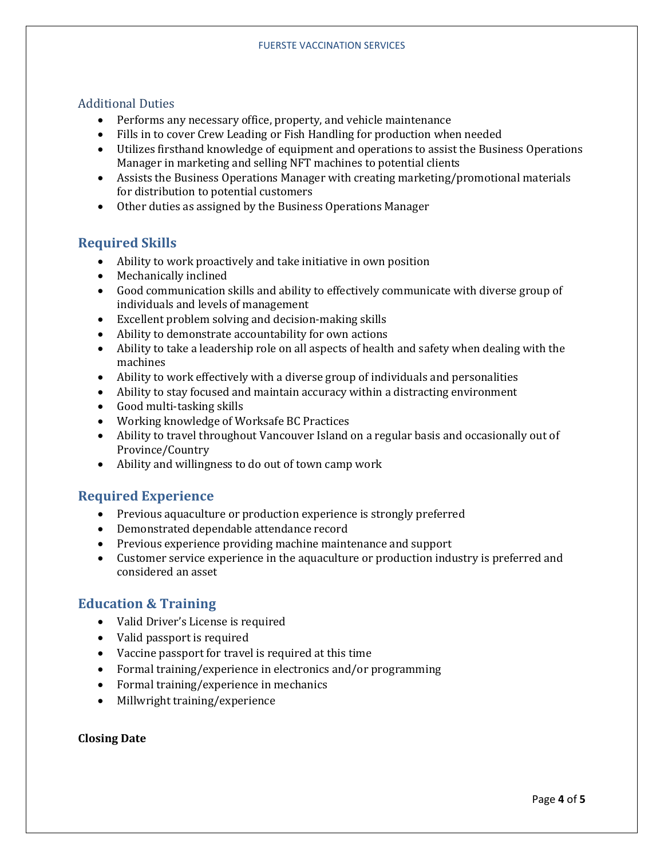#### Additional Duties

- Performs any necessary office, property, and vehicle maintenance
- Fills in to cover Crew Leading or Fish Handling for production when needed
- Utilizes firsthand knowledge of equipment and operations to assist the Business Operations Manager in marketing and selling NFT machines to potential clients
- Assists the Business Operations Manager with creating marketing/promotional materials for distribution to potential customers
- Other duties as assigned by the Business Operations Manager

# **Required Skills**

- Ability to work proactively and take initiative in own position
- Mechanically inclined
- Good communication skills and ability to effectively communicate with diverse group of individuals and levels of management
- Excellent problem solving and decision-making skills
- Ability to demonstrate accountability for own actions
- Ability to take a leadership role on all aspects of health and safety when dealing with the machines
- Ability to work effectively with a diverse group of individuals and personalities
- Ability to stay focused and maintain accuracy within a distracting environment
- Good multi-tasking skills
- Working knowledge of Worksafe BC Practices
- Ability to travel throughout Vancouver Island on a regular basis and occasionally out of Province/Country
- Ability and willingness to do out of town camp work

# **Required Experience**

- Previous aquaculture or production experience is strongly preferred
- Demonstrated dependable attendance record
- Previous experience providing machine maintenance and support
- Customer service experience in the aquaculture or production industry is preferred and considered an asset

# **Education & Training**

- Valid Driver's License is required
- Valid passport is required
- Vaccine passport for travel is required at this time
- Formal training/experience in electronics and/or programming
- Formal training/experience in mechanics
- Millwright training/experience

#### **Closing Date**